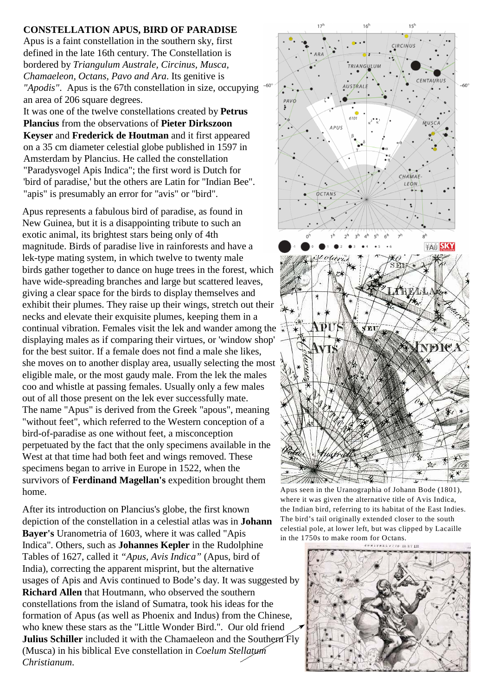## **CONSTELLATION APUS, BIRD OF PARADISE**

Apus is a faint constellation in the southern sky, first defined in the late 16th century. The Constellation is bordered by *Triangulum Australe, Circinus, Musca, Chamaeleon, Octans, Pavo and Ara*. Its genitive is *"Apodis"*. Apus is the 67th constellation in size, occupying <sup>-60</sup> an area of 206 square degrees.

It was one of the twelve constellations created by **Petrus Plancius** from the observations of **Pieter Dirkszoon Keyser** and **Frederick de Houtman** and it first appeared on a 35 cm diameter celestial globe published in 1597 in Amsterdam by Plancius. He called the constellation "Paradysvogel Apis Indica"; the first word is Dutch for 'bird of paradise,' but the others are Latin for "Indian Bee". "apis" is presumably an error for "avis" or "bird".

Apus represents a fabulous bird of paradise, as found in New Guinea, but it is a disappointing tribute to such an exotic animal, its brightest stars being only of 4th magnitude. Birds of paradise live in rainforests and have a lek-type mating system, in which twelve to twenty male birds gather together to dance on huge trees in the forest, which have wide-spreading branches and large but scattered leaves, giving a clear space for the birds to display themselves and exhibit their plumes. They raise up their wings, stretch out their necks and elevate their exquisite plumes, keeping them in a continual vibration. Females visit the lek and wander among the displaying males as if comparing their virtues, or 'window shop' for the best suitor. If a female does not find a male she likes, she moves on to another display area, usually selecting the most eligible male, or the most gaudy male. From the lek the males coo and whistle at passing females. Usually only a few males out of all those present on the lek ever successfully mate. The name "Apus" is derived from the Greek "apous", meaning "without feet", which referred to the Western conception of a bird-of-paradise as one without feet, a misconception perpetuated by the fact that the only specimens available in the West at that time had both feet and wings removed. These specimens began to arrive in Europe in 1522, when the survivors of **Ferdinand Magellan's** expedition brought them home.

After its introduction on Plancius's globe, the first known depiction of the constellation in a celestial atlas was in **Johann Bayer's** Uranometria of 1603, where it was called "Apis Indica". Others, such as **Johannes Kepler** in the Rudolphine Tables of 1627, called it *"Apus, Avis Indica"* (Apus, bird of India), correcting the apparent misprint, but the alternative usages of Apis and Avis continued to Bode's day. It was suggested by **Richard Allen** that Houtmann, who observed the southern constellations from the island of Sumatra, took his ideas for the formation of Apus (as well as Phoenix and Indus) from the Chinese, who knew these stars as the "Little Wonder Bird.". Our old friend **Julius Schiller** included it with the Chamaeleon and the Southern Fly (Musca) in his biblical Eve constellation in *Coelum Stellatum Christianum*.



Apus seen in the Uranographia of Johann Bode (1801), where it was given the alternative title of Avis Indica, the Indian bird, referring to its habitat of the East Indies. The bird's tail originally extended closer to the south celestial pole, at lower left, but was clipped by Lacaille in the 1750s to make room for Octans.

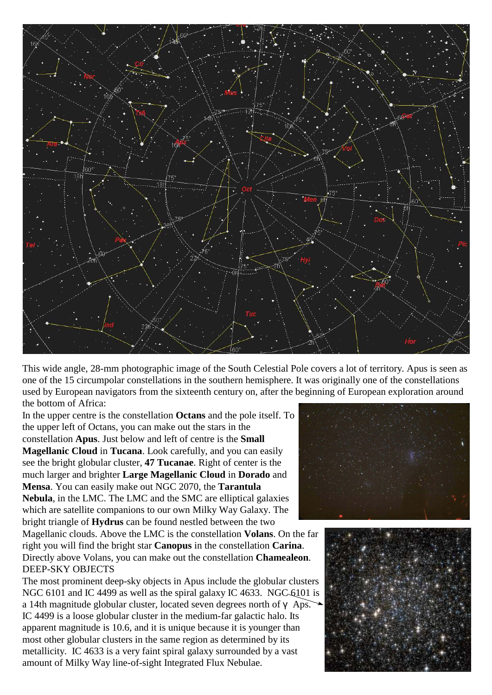

This wide angle, 28-mm photographic image of the South Celestial Pole covers a lot of territory. Apus is seen as one of the 15 circumpolar constellations in the southern hemisphere. It was originally one of the constellations used by European navigators from the sixteenth century on, after the beginning of European exploration around the bottom of Africa:

In the upper centre is the constellation **Octans** and the pole itself. To the upper left of Octans, you can make out the stars in the constellation **Apus**. Just below and left of centre is the **Small Magellanic Cloud** in **Tucana**. Look carefully, and you can easily see the bright globular cluster, **47 Tucanae**. Right of center is the much larger and brighter **Large Magellanic Cloud** in **Dorado** and **Mensa**. You can easily make out NGC 2070, the **Tarantula Nebula**, in the LMC. The LMC and the SMC are elliptical galaxies which are satellite companions to our own Milky Way Galaxy. The

bright triangle of **Hydrus** can be found nestled between the two Magellanic clouds. Above the LMC is the constellation **Volans**. On the far right you will find the bright star **Canopus** in the constellation **Carina**. Directly above Volans, you can make out the constellation **Chamealeon**.

DEEP-SKY OBJECTS The most prominent deep-sky objects in Apus include the globular clusters NGC 6101 and IC 4499 as well as the spiral galaxy IC 4633. NGC 6101 is a 14th magnitude globular cluster, located seven degrees north of  $\gamma$  Aps. IC 4499 is a loose globular cluster in the medium-far galactic halo. Its apparent magnitude is 10.6, and it is unique because it is younger than most other globular clusters in the same region as determined by its metallicity. IC 4633 is a very faint spiral galaxy surrounded by a vast amount of Milky Way line-of-sight Integrated Flux Nebulae.